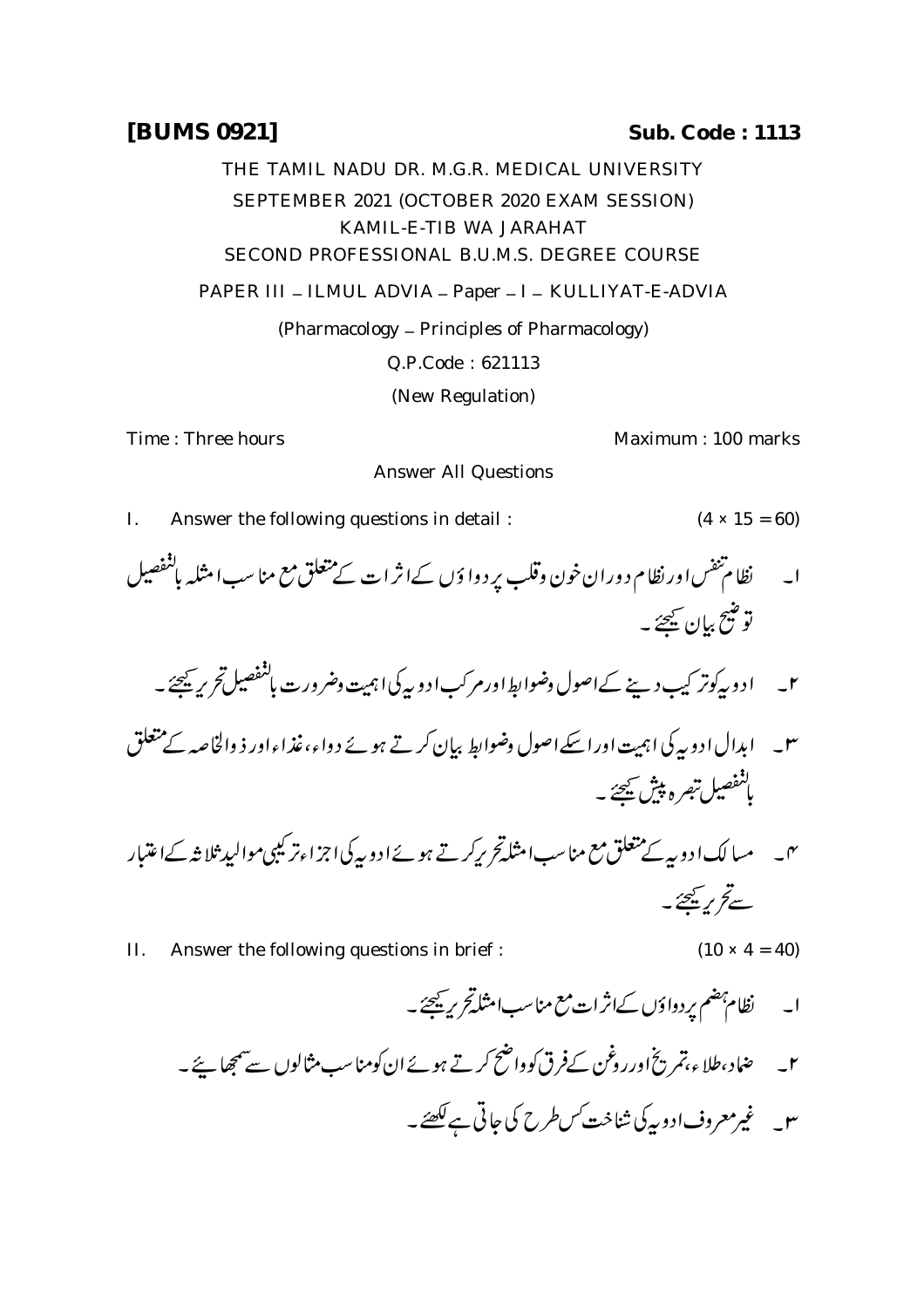## **[BUMS 0921] Sub. Code : 1113**

THE TAMIL NADU DR. M.G.R. MEDICAL UNIVERSITY SEPTEMBER 2021 (OCTOBER 2020 EXAM SESSION) KAMIL-E-TIB WA JARAHAT SECOND PROFESSIONAL B.U.M.S. DEGREE COURSE PAPER III - ILMUL ADVIA - Paper - I - KULLIYAT-E-ADVIA (Pharmacology \_ Principles of Pharmacology) Q.P.Code : 621113 (New Regulation)

Time : Three hours **Maximum** : 100 marks

I. Answer the following questions in detail :  $(4 \times 15 = 60)$ 

ا۔ نظا م تقس اور نظا م دوران خون وقلب پر دوا ؤں کےاثر ات کے متعلق مع منا سب امثلہ باسقصیل توضيح بيان يھچئے ۔

Answer All Questions

 

 

- II. Answer the following questions in brief :  $(10 \times 4 = 40)$ 
	- ۲۔ ضاد،طلاء،تمریخ اورروغن کےفرق کوواضح کرتے ہوئے ان کومناسب مثالوں سے سمجھا نئے۔ ۳\_ غیرمعروف ادوریکی شناخت *کس طرح* کی جاتی ہے <del>لکھئے</del>۔
-